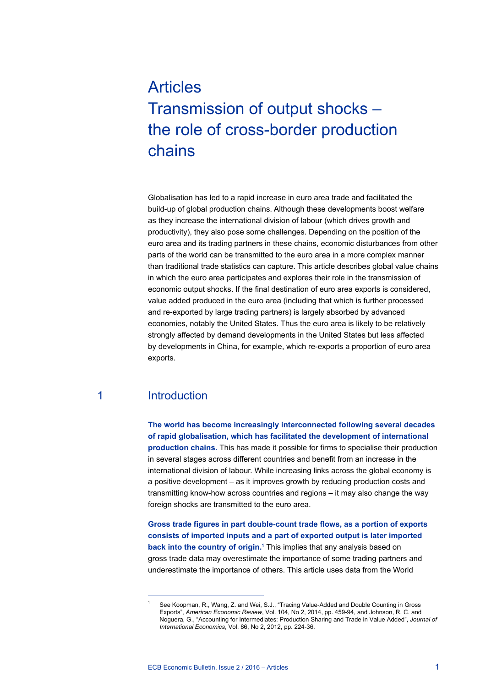# Articles Transmission of output shocks – the role of cross-border production chains

Globalisation has led to a rapid increase in euro area trade and facilitated the build-up of global production chains. Although these developments boost welfare as they increase the international division of labour (which drives growth and productivity), they also pose some challenges. Depending on the position of the euro area and its trading partners in these chains, economic disturbances from other parts of the world can be transmitted to the euro area in a more complex manner than traditional trade statistics can capture. This article describes global value chains in which the euro area participates and explores their role in the transmission of economic output shocks. If the final destination of euro area exports is considered, value added produced in the euro area (including that which is further processed and re-exported by large trading partners) is largely absorbed by advanced economies, notably the United States. Thus the euro area is likely to be relatively strongly affected by demand developments in the United States but less affected by developments in China, for example, which re-exports a proportion of euro area exports.

## 1 Introduction

**The world has become increasingly interconnected following several decades of rapid globalisation, which has facilitated the development of international production chains.** This has made it possible for firms to specialise their production in several stages across different countries and benefit from an increase in the international division of labour. While increasing links across the global economy is a positive development – as it improves growth by reducing production costs and transmitting know-how across countries and regions – it may also change the way foreign shocks are transmitted to the euro area.

**Gross trade figures in part double-count trade flows, as a portion of exports consists of imported inputs and a part of exported output is later imported back into the country of origin.**<sup>1</sup> This implies that any analysis based on gross trade data may overestimate the importance of some trading partners and underestimate the importance of others. This article uses data from the World

<sup>1</sup> See Koopman, R., Wang, Z. and Wei, S.J., "Tracing Value-Added and Double Counting in Gross Exports", *American Economic Review*, Vol. 104, No 2, 2014, pp. 459-94, and Johnson, R. C. and Noguera, G., "Accounting for Intermediates: Production Sharing and Trade in Value Added", *Journal of International Economics*, Vol. 86, No 2, 2012, pp. 224-36.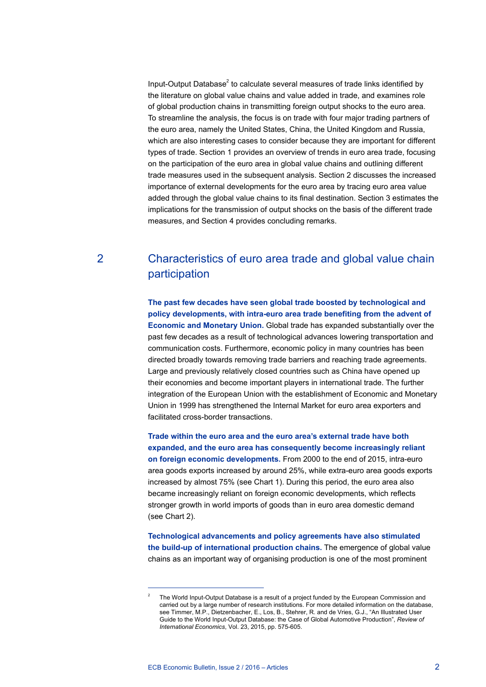Input-Output Database<sup>2</sup> to calculate several measures of trade links identified by the literature on global value chains and value added in trade, and examines role of global production chains in transmitting foreign output shocks to the euro area. To streamline the analysis, the focus is on trade with four major trading partners of the euro area, namely the United States, China, the United Kingdom and Russia, which are also interesting cases to consider because they are important for different types of trade. Section 1 provides an overview of trends in euro area trade, focusing on the participation of the euro area in global value chains and outlining different trade measures used in the subsequent analysis. Section 2 discusses the increased importance of external developments for the euro area by tracing euro area value added through the global value chains to its final destination. Section 3 estimates the implications for the transmission of output shocks on the basis of the different trade measures, and Section 4 provides concluding remarks.

## 2 Characteristics of euro area trade and global value chain participation

**The past few decades have seen global trade boosted by technological and policy developments, with intra-euro area trade benefiting from the advent of Economic and Monetary Union.** Global trade has expanded substantially over the past few decades as a result of technological advances lowering transportation and communication costs. Furthermore, economic policy in many countries has been directed broadly towards removing trade barriers and reaching trade agreements. Large and previously relatively closed countries such as China have opened up their economies and become important players in international trade. The further integration of the European Union with the establishment of Economic and Monetary Union in 1999 has strengthened the Internal Market for euro area exporters and facilitated cross-border transactions.

**Trade within the euro area and the euro area's external trade have both expanded, and the euro area has consequently become increasingly reliant on foreign economic developments.** From 2000 to the end of 2015, intra-euro area goods exports increased by around 25%, while extra-euro area goods exports increased by almost 75% (see Chart 1). During this period, the euro area also became increasingly reliant on foreign economic developments, which reflects stronger growth in world imports of goods than in euro area domestic demand (see Chart 2).

**Technological advancements and policy agreements have also stimulated the build-up of international production chains.** The emergence of global value chains as an important way of organising production is one of the most prominent

<sup>2</sup> The World Input-Output Database is a result of a project funded by the European Commission and carried out by a large number of research institutions. For more detailed information on the database, see Timmer, M.P., Dietzenbacher, E., Los, B., Stehrer, R. and de Vries, G.J., "An Illustrated User Guide to the World Input-Output Database: the Case of Global Automotive Production", *Review of International Economics*, Vol. 23, 2015, pp. 575-605.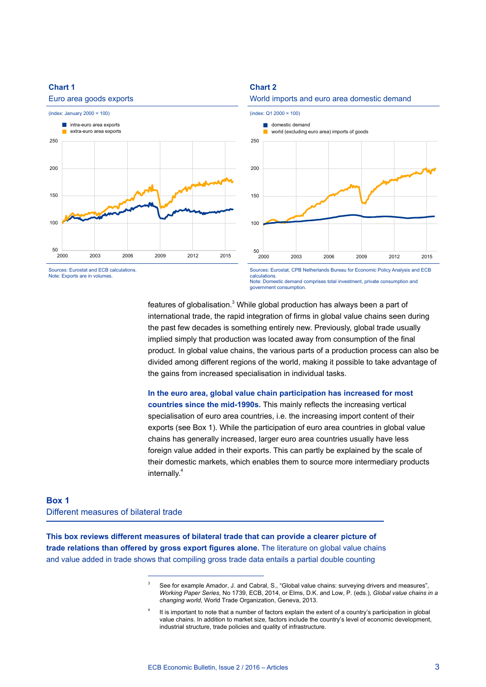

#### **Chart 2**





Sources: Eurostat and ECB calculations. Note: Exports are in volumes.

Sources: Eurostat, CPB Netherlands Bureau for Economic Policy Analysis and ECB calculations. Note: Domestic demand comprises total investment, private consumption and government consumption.

features of globalisation. $^3$  While global production has always been a part of international trade, the rapid integration of firms in global value chains seen during the past few decades is something entirely new. Previously, global trade usually implied simply that production was located away from consumption of the final product. In global value chains, the various parts of a production process can also be divided among different regions of the world, making it possible to take advantage of the gains from increased specialisation in individual tasks.

**In the euro area, global value chain participation has increased for most countries since the mid-1990s.** This mainly reflects the increasing vertical specialisation of euro area countries, i.e. the increasing import content of their exports (see Box 1). While the participation of euro area countries in global value chains has generally increased, larger euro area countries usually have less foreign value added in their exports. This can partly be explained by the scale of their domestic markets, which enables them to source more intermediary products internally.<sup>4</sup>

## **Box 1** Different measures of bilateral trade

**This box reviews different measures of bilateral trade that can provide a clearer picture of trade relations than offered by gross export figures alone.** The literature on global value chains and value added in trade shows that compiling gross trade data entails a partial double counting

> See for example Amador, J. and Cabral, S., "Global value chains: surveying drivers and measures", *Working Paper Series*, No 1739, ECB, 2014, or Elms, D.K. and Low, P. (eds.), *Global value chains in a changing world*, World Trade Organization, Geneva, 2013.

<sup>4</sup> It is important to note that a number of factors explain the extent of a country's participation in global value chains. In addition to market size, factors include the country's level of economic development, industrial structure, trade policies and quality of infrastructure.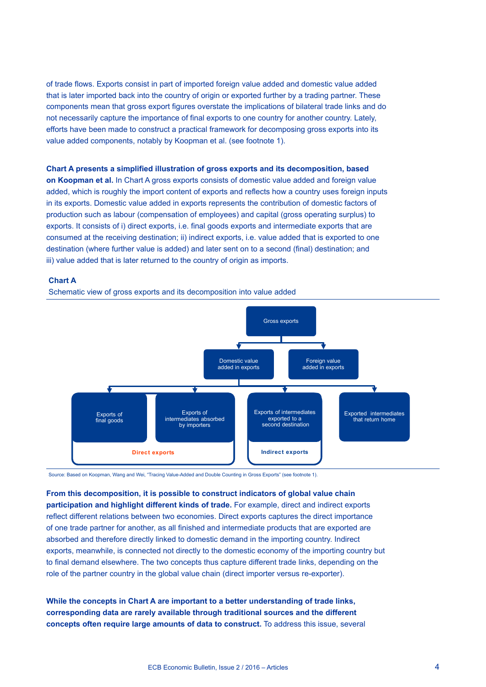of trade flows. Exports consist in part of imported foreign value added and domestic value added that is later imported back into the country of origin or exported further by a trading partner. These components mean that gross export figures overstate the implications of bilateral trade links and do not necessarily capture the importance of final exports to one country for another country. Lately, efforts have been made to construct a practical framework for decomposing gross exports into its value added components, notably by Koopman et al. (see footnote 1).

#### **Chart A presents a simplified illustration of gross exports and its decomposition, based**

**on Koopman et al.** In Chart A gross exports consists of domestic value added and foreign value added, which is roughly the import content of exports and reflects how a country uses foreign inputs in its exports. Domestic value added in exports represents the contribution of domestic factors of production such as labour (compensation of employees) and capital (gross operating surplus) to exports. It consists of i) direct exports, i.e. final goods exports and intermediate exports that are consumed at the receiving destination; ii) indirect exports, i.e. value added that is exported to one destination (where further value is added) and later sent on to a second (final) destination; and iii) value added that is later returned to the country of origin as imports.

#### **Chart A**

Schematic view of gross exports and its decomposition into value added



Source: Based on Koopman, Wang and Wei, "Tracing Value-Added and Double Counting in Gross Exports" (see footnote 1).

**From this decomposition, it is possible to construct indicators of global value chain participation and highlight different kinds of trade.** For example, direct and indirect exports reflect different relations between two economies. Direct exports captures the direct importance of one trade partner for another, as all finished and intermediate products that are exported are absorbed and therefore directly linked to domestic demand in the importing country. Indirect exports, meanwhile, is connected not directly to the domestic economy of the importing country but to final demand elsewhere. The two concepts thus capture different trade links, depending on the role of the partner country in the global value chain (direct importer versus re-exporter).

**While the concepts in Chart A are important to a better understanding of trade links, corresponding data are rarely available through traditional sources and the different concepts often require large amounts of data to construct.** To address this issue, several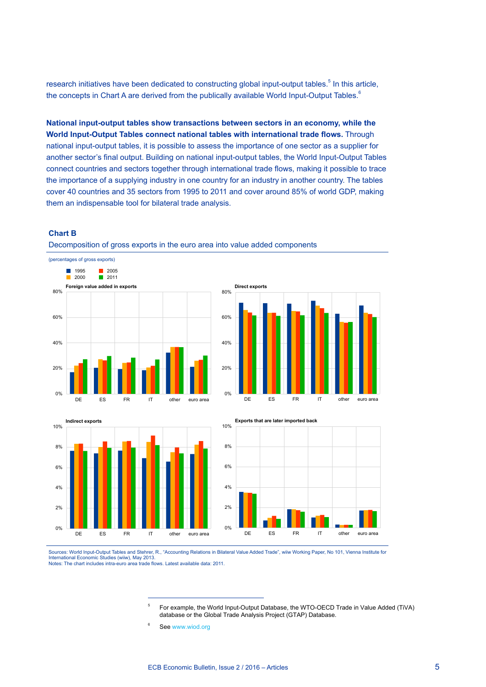research initiatives have been dedicated to constructing global input-output tables.<sup>5</sup> In this article, the concepts in Chart A are derived from the publically available World Input-Output Tables.<sup>6</sup>

**National input-output tables show transactions between sectors in an economy, while the World Input-Output Tables connect national tables with international trade flows.** Through national input-output tables, it is possible to assess the importance of one sector as a supplier for another sector's final output. Building on national input-output tables, the World Input-Output Tables connect countries and sectors together through international trade flows, making it possible to trace the importance of a supplying industry in one country for an industry in another country. The tables cover 40 countries and 35 sectors from 1995 to 2011 and cover around 85% of world GDP, making them an indispensable tool for bilateral trade analysis.

#### **Chart B**



Decomposition of gross exports in the euro area into value added components







Sources: World Input-Output Tables and Stehrer, R., "Accounting Relations in Bilateral Value Added Trade", wiiw Working Paper, No 101, Vienna Institute for International Economic Studies (wiiw), May 2013.<br>Notes: The chart includes intra-euro area trade flows. Latest available data: 2011.

> <sup>5</sup> For example, the World Input-Output Database, the WTO-OECD Trade in Value Added (TiVA) database or the Global Trade Analysis Project (GTAP) Database.

<sup>&</sup>lt;sup>6</sup> See www.wiod.org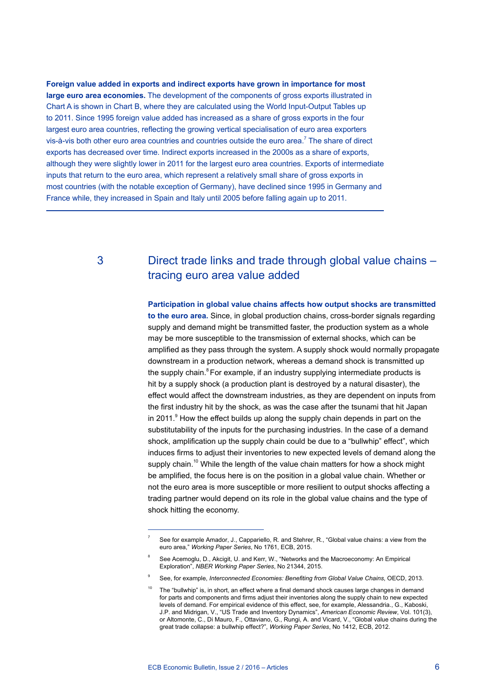**Foreign value added in exports and indirect exports have grown in importance for most large euro area economies.** The development of the components of gross exports illustrated in Chart A is shown in Chart B, where they are calculated using the World Input-Output Tables up to 2011. Since 1995 foreign value added has increased as a share of gross exports in the four largest euro area countries, reflecting the growing vertical specialisation of euro area exporters vis-à-vis both other euro area countries and countries outside the euro area.<sup>7</sup> The share of direct exports has decreased over time. Indirect exports increased in the 2000s as a share of exports, although they were slightly lower in 2011 for the largest euro area countries. Exports of intermediate inputs that return to the euro area, which represent a relatively small share of gross exports in most countries (with the notable exception of Germany), have declined since 1995 in Germany and France while, they increased in Spain and Italy until 2005 before falling again up to 2011.

## 3 Direct trade links and trade through global value chains – tracing euro area value added

**Participation in global value chains affects how output shocks are transmitted to the euro area.** Since, in global production chains, cross-border signals regarding supply and demand might be transmitted faster, the production system as a whole may be more susceptible to the transmission of external shocks, which can be amplified as they pass through the system. A supply shock would normally propagate downstream in a production network, whereas a demand shock is transmitted up the supply chain.<sup>8</sup> For example, if an industry supplying intermediate products is hit by a supply shock (a production plant is destroyed by a natural disaster), the effect would affect the downstream industries, as they are dependent on inputs from the first industry hit by the shock, as was the case after the tsunami that hit Japan in 2011.<sup>9</sup> How the effect builds up along the supply chain depends in part on the substitutability of the inputs for the purchasing industries. In the case of a demand shock, amplification up the supply chain could be due to a "bullwhip" effect", which induces firms to adjust their inventories to new expected levels of demand along the supply chain.<sup>10</sup> While the length of the value chain matters for how a shock might be amplified, the focus here is on the position in a global value chain. Whether or not the euro area is more susceptible or more resilient to output shocks affecting a trading partner would depend on its role in the global value chains and the type of shock hitting the economy.

See for example Amador, J., Cappariello, R. and Stehrer, R., "Global value chains: a view from the euro area," *Working Paper Series*, No 1761, ECB, 2015.

<sup>8</sup> See Acemoglu, D., Akcigit, U. and Kerr, W., "Networks and the Macroeconomy: An Empirical Exploration", *NBER Working Paper Series*, No 21344, 2015.

<sup>9</sup> See, for example, *Interconnected Economies: Benefiting from Global Value Chains*, OECD, 2013.

 $10$  The "bullwhip" is, in short, an effect where a final demand shock causes large changes in demand for parts and components and firms adjust their inventories along the supply chain to new expected levels of demand. For empirical evidence of this effect, see, for example, Alessandria., G., Kaboski, J.P. and Midrigan, V., "US Trade and Inventory Dynamics", *American Economic Review*, Vol. 101(3), or Altomonte, C., Di Mauro, F., Ottaviano, G., Rungi, A. and Vicard, V., "Global value chains during the great trade collapse: a bullwhip effect?", *Working Paper Series*, No 1412, ECB, 2012.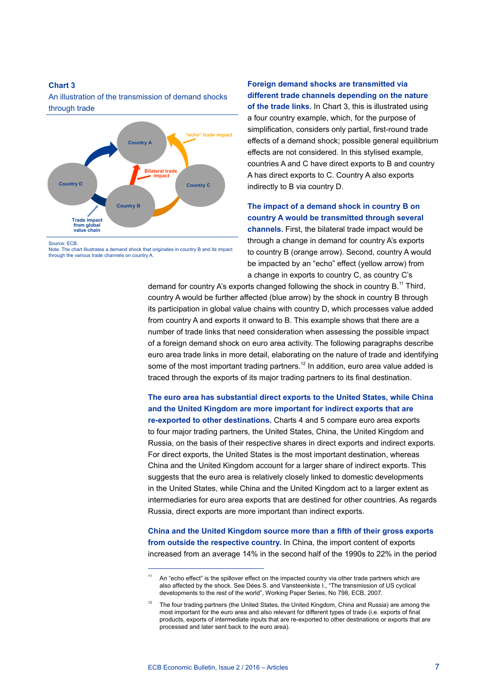An illustration of the transmission of demand shocks through trade



Source: ECB.

Note: The chart illustrates a demand shock that originates in country B and its impact through the various trade channels on country A.

## **Foreign demand shocks are transmitted via different trade channels depending on the nature**

**of the trade links.** In Chart 3, this is illustrated using a four country example, which, for the purpose of simplification, considers only partial, first-round trade effects of a demand shock; possible general equilibrium effects are not considered. In this stylised example, countries A and C have direct exports to B and country A has direct exports to C. Country A also exports indirectly to B via country D.

### **The impact of a demand shock in country B on country A would be transmitted through several channels.** First, the bilateral trade impact would be through a change in demand for country A's exports

to country B (orange arrow). Second, country A would be impacted by an "echo" effect (yellow arrow) from a change in exports to country C, as country C's

demand for country A's exports changed following the shock in country  $B<sup>11</sup>$  Third, country A would be further affected (blue arrow) by the shock in country B through its participation in global value chains with country D, which processes value added from country A and exports it onward to B. This example shows that there are a number of trade links that need consideration when assessing the possible impact of a foreign demand shock on euro area activity. The following paragraphs describe euro area trade links in more detail, elaborating on the nature of trade and identifying some of the most important trading partners.<sup>12</sup> In addition, euro area value added is traced through the exports of its major trading partners to its final destination.

**The euro area has substantial direct exports to the United States, while China and the United Kingdom are more important for indirect exports that are re-exported to other destinations.** Charts 4 and 5 compare euro area exports to four major trading partners, the United States, China, the United Kingdom and Russia, on the basis of their respective shares in direct exports and indirect exports. For direct exports, the United States is the most important destination, whereas China and the United Kingdom account for a larger share of indirect exports. This suggests that the euro area is relatively closely linked to domestic developments in the United States, while China and the United Kingdom act to a larger extent as intermediaries for euro area exports that are destined for other countries. As regards Russia, direct exports are more important than indirect exports.

**China and the United Kingdom source more than a fifth of their gross exports from outside the respective country.** In China, the import content of exports increased from an average 14% in the second half of the 1990s to 22% in the period

 $11$  An "echo effect" is the spillover effect on the impacted country via other trade partners which are also affected by the shock. See Dées S. and Vansteenkiste I., "The transmission of US cyclical developments to the rest of the world", Working Paper Series, No 798, ECB, 2007.

<sup>12</sup> The four trading partners (the United States, the United Kingdom, China and Russia) are among the most important for the euro area and also relevant for different types of trade (i.e. exports of final products, exports of intermediate inputs that are re-exported to other destinations or exports that are processed and later sent back to the euro area).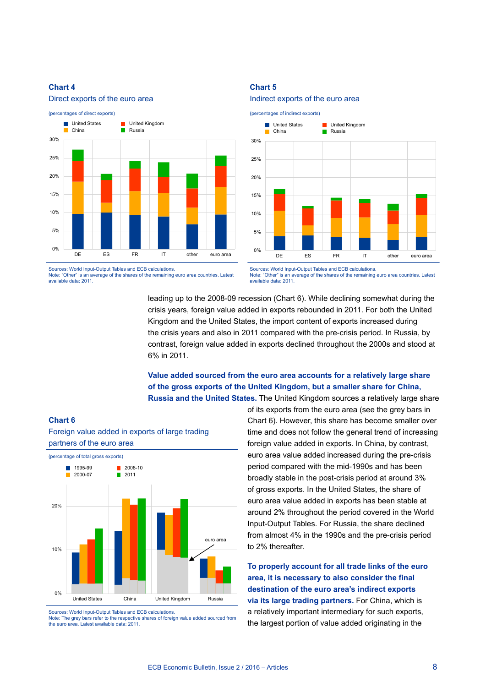**Chart 6**



Sources: World Input-Output Tables and ECB calculations. Note: "Other" is an average of the shares of the remaining euro area countries. Latest available data: 2011.

**Chart 5**





Sources: World Input-Output Tables and ECB calculations. Note: "Output is an above and the shares consumer in a very significant in the shares of the shares of the remaining euro area countries. Latest available data: 2011.

leading up to the 2008-09 recession (Chart 6). While declining somewhat during the crisis years, foreign value added in exports rebounded in 2011. For both the United Kingdom and the United States, the import content of exports increased during the crisis years and also in 2011 compared with the pre-crisis period. In Russia, by contrast, foreign value added in exports declined throughout the 2000s and stood at 6% in 2011.

#### **Value added sourced from the euro area accounts for a relatively large share of the gross exports of the United Kingdom, but a smaller share for China, Russia and the United States.** The United Kingdom sources a relatively large share



Foreign value added in exports of large trading

Sources: World Input-Output Tables and ECB calculations.

Note: The grey bars refer to the respective shares of foreign value added sourced from the euro area. Latest available data: 2011.

of its exports from the euro area (see the grey bars in Chart 6). However, this share has become smaller over time and does not follow the general trend of increasing foreign value added in exports. In China, by contrast, euro area value added increased during the pre-crisis period compared with the mid-1990s and has been broadly stable in the post-crisis period at around 3% of gross exports. In the United States, the share of euro area value added in exports has been stable at around 2% throughout the period covered in the World Input-Output Tables. For Russia, the share declined from almost 4% in the 1990s and the pre-crisis period to 2% thereafter.

**To properly account for all trade links of the euro area, it is necessary to also consider the final destination of the euro area's indirect exports via its large trading partners.** For China, which is a relatively important intermediary for such exports, the largest portion of value added originating in the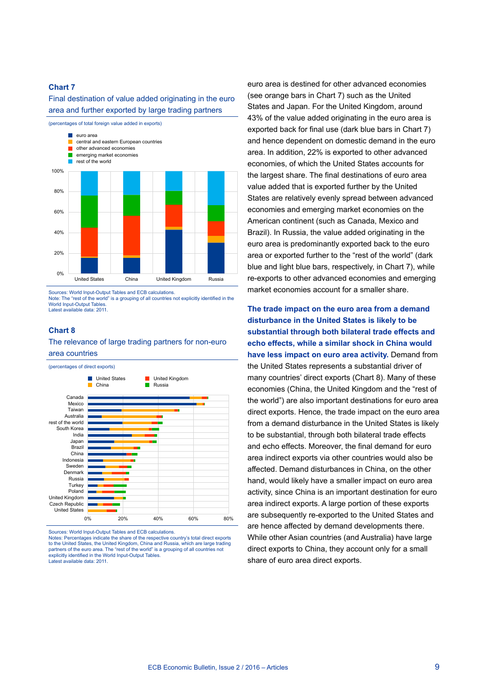Final destination of value added originating in the euro area and further exported by large trading partners



Sources: World Input-Output Tables and ECB calculations.

Note: The "rest of the world" is a grouping of all countries not explicitly identified in the World Input-Output Tables. Latest available data: 2011.

#### **Chart 8**

#### The relevance of large trading partners for non-euro area countries



Sources: World Input-Output Tables and ECB calculations.

Notes: Percentages indicate the share of the respective country's total direct exports to the United States, the United Kingdom, China and Russia, which are large trading partners of the euro area. The "rest of the world" is a grouping of all countries not explicitly identified in the World Input-Output Tables.<br>Latest available data: 2011.

euro area is destined for other advanced economies (see orange bars in Chart 7) such as the United States and Japan. For the United Kingdom, around 43% of the value added originating in the euro area is exported back for final use (dark blue bars in Chart 7) and hence dependent on domestic demand in the euro area. In addition, 22% is exported to other advanced economies, of which the United States accounts for the largest share. The final destinations of euro area value added that is exported further by the United States are relatively evenly spread between advanced economies and emerging market economies on the American continent (such as Canada, Mexico and Brazil). In Russia, the value added originating in the euro area is predominantly exported back to the euro area or exported further to the "rest of the world" (dark blue and light blue bars, respectively, in Chart 7), while re-exports to other advanced economies and emerging market economies account for a smaller share.

**The trade impact on the euro area from a demand disturbance in the United States is likely to be substantial through both bilateral trade effects and echo effects, while a similar shock in China would have less impact on euro area activity.** Demand from the United States represents a substantial driver of many countries' direct exports (Chart 8). Many of these economies (China, the United Kingdom and the "rest of the world") are also important destinations for euro area direct exports. Hence, the trade impact on the euro area from a demand disturbance in the United States is likely to be substantial, through both bilateral trade effects and echo effects. Moreover, the final demand for euro area indirect exports via other countries would also be affected. Demand disturbances in China, on the other hand, would likely have a smaller impact on euro area activity, since China is an important destination for euro area indirect exports. A large portion of these exports are subsequently re-exported to the United States and are hence affected by demand developments there. While other Asian countries (and Australia) have large direct exports to China, they account only for a small share of euro area direct exports.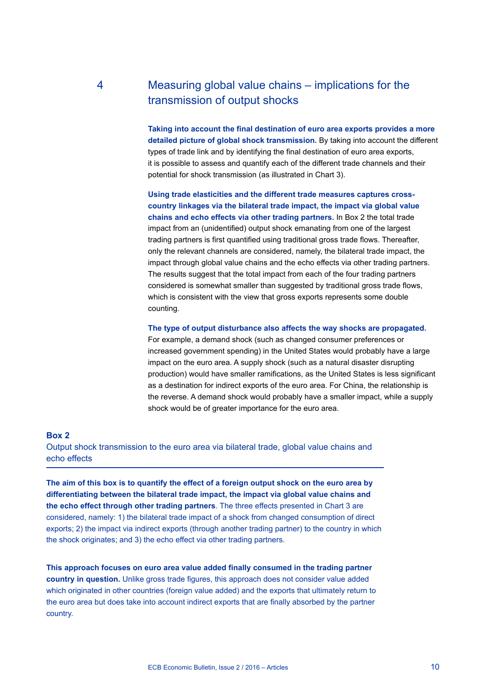## 4 Measuring global value chains – implications for the transmission of output shocks

**Taking into account the final destination of euro area exports provides a more detailed picture of global shock transmission.** By taking into account the different types of trade link and by identifying the final destination of euro area exports, it is possible to assess and quantify each of the different trade channels and their potential for shock transmission (as illustrated in Chart 3).

**Using trade elasticities and the different trade measures captures crosscountry linkages via the bilateral trade impact, the impact via global value chains and echo effects via other trading partners.** In Box 2 the total trade impact from an (unidentified) output shock emanating from one of the largest trading partners is first quantified using traditional gross trade flows. Thereafter, only the relevant channels are considered, namely, the bilateral trade impact, the impact through global value chains and the echo effects via other trading partners. The results suggest that the total impact from each of the four trading partners considered is somewhat smaller than suggested by traditional gross trade flows, which is consistent with the view that gross exports represents some double counting.

**The type of output disturbance also affects the way shocks are propagated.**

For example, a demand shock (such as changed consumer preferences or increased government spending) in the United States would probably have a large impact on the euro area. A supply shock (such as a natural disaster disrupting production) would have smaller ramifications, as the United States is less significant as a destination for indirect exports of the euro area. For China, the relationship is the reverse. A demand shock would probably have a smaller impact, while a supply shock would be of greater importance for the euro area.

#### **Box 2**

Output shock transmission to the euro area via bilateral trade, global value chains and echo effects

**The aim of this box is to quantify the effect of a foreign output shock on the euro area by differentiating between the bilateral trade impact, the impact via global value chains and the echo effect through other trading partners**. The three effects presented in Chart 3 are considered, namely: 1) the bilateral trade impact of a shock from changed consumption of direct exports; 2) the impact via indirect exports (through another trading partner) to the country in which the shock originates; and 3) the echo effect via other trading partners.

**This approach focuses on euro area value added finally consumed in the trading partner country in question.** Unlike gross trade figures, this approach does not consider value added which originated in other countries (foreign value added) and the exports that ultimately return to the euro area but does take into account indirect exports that are finally absorbed by the partner country.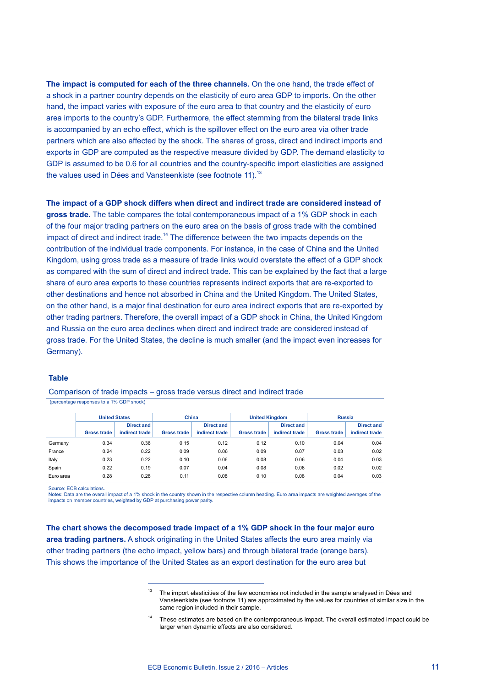**The impact is computed for each of the three channels.** On the one hand, the trade effect of a shock in a partner country depends on the elasticity of euro area GDP to imports. On the other hand, the impact varies with exposure of the euro area to that country and the elasticity of euro area imports to the country's GDP. Furthermore, the effect stemming from the bilateral trade links is accompanied by an echo effect, which is the spillover effect on the euro area via other trade partners which are also affected by the shock. The shares of gross, direct and indirect imports and exports in GDP are computed as the respective measure divided by GDP. The demand elasticity to GDP is assumed to be 0.6 for all countries and the country-specific import elasticities are assigned the values used in Dées and Vansteenkiste (see footnote 11).<sup>13</sup>

**The impact of a GDP shock differs when direct and indirect trade are considered instead of gross trade.** The table compares the total contemporaneous impact of a 1% GDP shock in each of the four major trading partners on the euro area on the basis of gross trade with the combined impact of direct and indirect trade.<sup>14</sup> The difference between the two impacts depends on the contribution of the individual trade components. For instance, in the case of China and the United Kingdom, using gross trade as a measure of trade links would overstate the effect of a GDP shock as compared with the sum of direct and indirect trade. This can be explained by the fact that a large share of euro area exports to these countries represents indirect exports that are re-exported to other destinations and hence not absorbed in China and the United Kingdom. The United States, on the other hand, is a major final destination for euro area indirect exports that are re-exported by other trading partners. Therefore, the overall impact of a GDP shock in China, the United Kingdom and Russia on the euro area declines when direct and indirect trade are considered instead of gross trade. For the United States, the decline is much smaller (and the impact even increases for Germany).

#### **Table**

Comparison of trade impacts – gross trade versus direct and indirect trade (percentage responses to a 1% GDP shock)

|           | <b>United States</b> |                                     | China              |                                     | <b>United Kingdom</b> |                                     | <b>Russia</b>      |                                     |
|-----------|----------------------|-------------------------------------|--------------------|-------------------------------------|-----------------------|-------------------------------------|--------------------|-------------------------------------|
|           | <b>Gross trade</b>   | <b>Direct and</b><br>indirect trade | <b>Gross trade</b> | <b>Direct and</b><br>indirect trade | <b>Gross trade</b>    | <b>Direct and</b><br>indirect trade | <b>Gross trade</b> | <b>Direct and</b><br>indirect trade |
|           |                      |                                     |                    |                                     |                       |                                     |                    |                                     |
| Germany   | 0.34                 | 0.36                                | 0.15               | 0.12                                | 0.12                  | 0.10                                | 0.04               | 0.04                                |
| France    | 0.24                 | 0.22                                | 0.09               | 0.06                                | 0.09                  | 0.07                                | 0.03               | 0.02                                |
| Italy     | 0.23                 | 0.22                                | 0.10               | 0.06                                | 0.08                  | 0.06                                | 0.04               | 0.03                                |
| Spain     | 0.22                 | 0.19                                | 0.07               | 0.04                                | 0.08                  | 0.06                                | 0.02               | 0.02                                |
| Euro area | 0.28                 | 0.28                                | 0.11               | 0.08                                | 0.10                  | 0.08                                | 0.04               | 0.03                                |

Source: ECB calculations.

Notes: Data are the overall impact of a 1% shock in the country shown in the respective column heading. Euro area impacts are weighted averages of the impacts on member countries, weighted by GDP at purchasing power parity.

**The chart shows the decomposed trade impact of a 1% GDP shock in the four major euro area trading partners.** A shock originating in the United States affects the euro area mainly via other trading partners (the echo impact, yellow bars) and through bilateral trade (orange bars). This shows the importance of the United States as an export destination for the euro area but

 $13$  The import elasticities of the few economies not included in the sample analysed in Dées and Vansteenkiste (see footnote 11) are approximated by the values for countries of similar size in the same region included in their sample.

These estimates are based on the contemporaneous impact. The overall estimated impact could be larger when dynamic effects are also considered.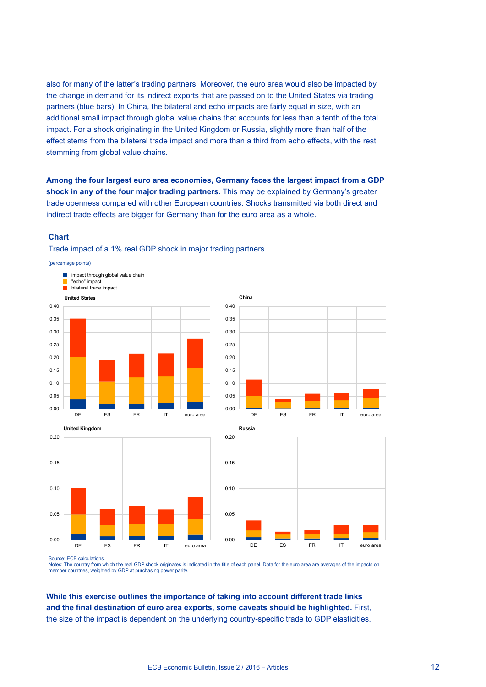also for many of the latter's trading partners. Moreover, the euro area would also be impacted by the change in demand for its indirect exports that are passed on to the United States via trading partners (blue bars). In China, the bilateral and echo impacts are fairly equal in size, with an additional small impact through global value chains that accounts for less than a tenth of the total impact. For a shock originating in the United Kingdom or Russia, slightly more than half of the effect stems from the bilateral trade impact and more than a third from echo effects, with the rest stemming from global value chains.

**Among the four largest euro area economies, Germany faces the largest impact from a GDP shock in any of the four major trading partners.** This may be explained by Germany's greater trade openness compared with other European countries. Shocks transmitted via both direct and indirect trade effects are bigger for Germany than for the euro area as a whole.

#### **Chart**

(percentage points)



DE ES FR IT euro area







Source: ECB calculations.

0.00

0.05

0.10

Notes: The country from which the real GDP shock originates is indicated in the title of each panel. Data for the euro area are averages of the impacts on member countries, weighted by GDP at purchasing power parity.

**While this exercise outlines the importance of taking into account different trade links and the final destination of euro area exports, some caveats should be highlighted.** First, the size of the impact is dependent on the underlying country-specific trade to GDP elasticities.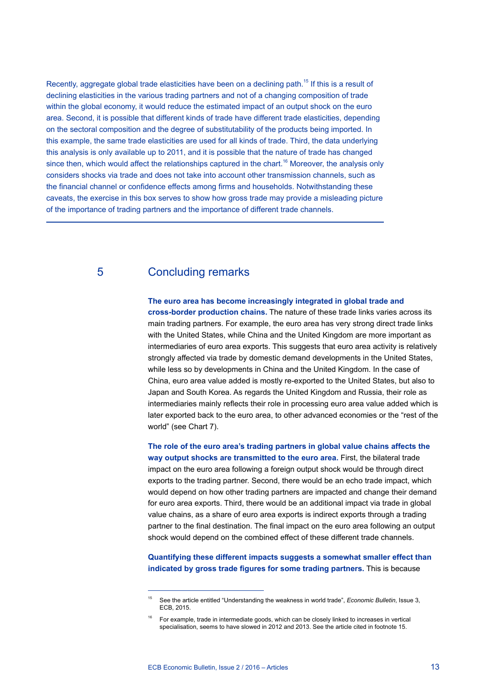Recently, aggregate global trade elasticities have been on a declining path.<sup>15</sup> If this is a result of declining elasticities in the various trading partners and not of a changing composition of trade within the global economy, it would reduce the estimated impact of an output shock on the euro area. Second, it is possible that different kinds of trade have different trade elasticities, depending on the sectoral composition and the degree of substitutability of the products being imported. In this example, the same trade elasticities are used for all kinds of trade. Third, the data underlying this analysis is only available up to 2011, and it is possible that the nature of trade has changed since then, which would affect the relationships captured in the chart.<sup>16</sup> Moreover, the analysis only considers shocks via trade and does not take into account other transmission channels, such as the financial channel or confidence effects among firms and households. Notwithstanding these caveats, the exercise in this box serves to show how gross trade may provide a misleading picture of the importance of trading partners and the importance of different trade channels.

## 5 Concluding remarks

#### **The euro area has become increasingly integrated in global trade and**

**cross-border production chains.** The nature of these trade links varies across its main trading partners. For example, the euro area has very strong direct trade links with the United States, while China and the United Kingdom are more important as intermediaries of euro area exports. This suggests that euro area activity is relatively strongly affected via trade by domestic demand developments in the United States, while less so by developments in China and the United Kingdom. In the case of China, euro area value added is mostly re-exported to the United States, but also to Japan and South Korea. As regards the United Kingdom and Russia, their role as intermediaries mainly reflects their role in processing euro area value added which is later exported back to the euro area, to other advanced economies or the "rest of the world" (see Chart 7).

**The role of the euro area's trading partners in global value chains affects the way output shocks are transmitted to the euro area.** First, the bilateral trade impact on the euro area following a foreign output shock would be through direct exports to the trading partner. Second, there would be an echo trade impact, which would depend on how other trading partners are impacted and change their demand for euro area exports. Third, there would be an additional impact via trade in global value chains, as a share of euro area exports is indirect exports through a trading partner to the final destination. The final impact on the euro area following an output shock would depend on the combined effect of these different trade channels.

**Quantifying these different impacts suggests a somewhat smaller effect than indicated by gross trade figures for some trading partners.** This is because

<sup>15</sup> See the article entitled "Understanding the weakness in world trade", *Economic Bulletin*, Issue 3, ECB, 2015.

<sup>16</sup> For example, trade in intermediate goods, which can be closely linked to increases in vertical specialisation, seems to have slowed in 2012 and 2013. See the article cited in footnote 15.